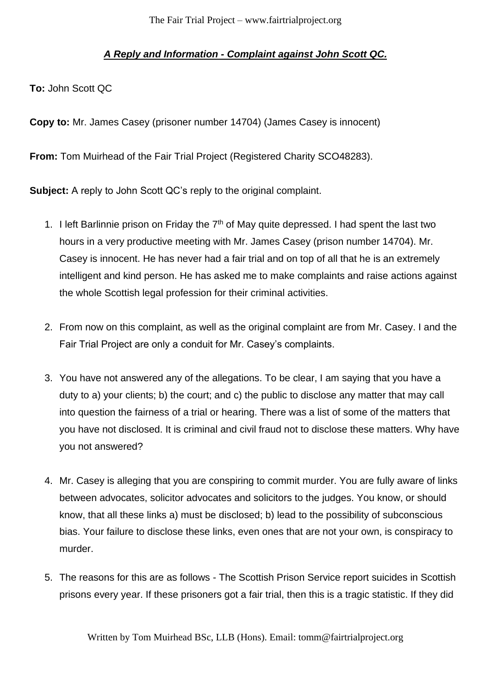## *A Reply and Information - Complaint against John Scott QC.*

**To:** John Scott QC

**Copy to:** Mr. James Casey (prisoner number 14704) (James Casey is innocent)

**From:** Tom Muirhead of the Fair Trial Project (Registered Charity SCO48283).

**Subject:** A reply to John Scott QC's reply to the original complaint.

- 1. I left Barlinnie prison on Friday the  $7<sup>th</sup>$  of May quite depressed. I had spent the last two hours in a very productive meeting with Mr. James Casey (prison number 14704). Mr. Casey is innocent. He has never had a fair trial and on top of all that he is an extremely intelligent and kind person. He has asked me to make complaints and raise actions against the whole Scottish legal profession for their criminal activities.
- 2. From now on this complaint, as well as the original complaint are from Mr. Casey. I and the Fair Trial Project are only a conduit for Mr. Casey's complaints.
- 3. You have not answered any of the allegations. To be clear, I am saying that you have a duty to a) your clients; b) the court; and c) the public to disclose any matter that may call into question the fairness of a trial or hearing. There was a list of some of the matters that you have not disclosed. It is criminal and civil fraud not to disclose these matters. Why have you not answered?
- 4. Mr. Casey is alleging that you are conspiring to commit murder. You are fully aware of links between advocates, solicitor advocates and solicitors to the judges. You know, or should know, that all these links a) must be disclosed; b) lead to the possibility of subconscious bias. Your failure to disclose these links, even ones that are not your own, is conspiracy to murder.
- 5. The reasons for this are as follows The Scottish Prison Service report suicides in Scottish prisons every year. If these prisoners got a fair trial, then this is a tragic statistic. If they did

Written by Tom Muirhead BSc, LLB (Hons). Email: tomm@fairtrialproject.org